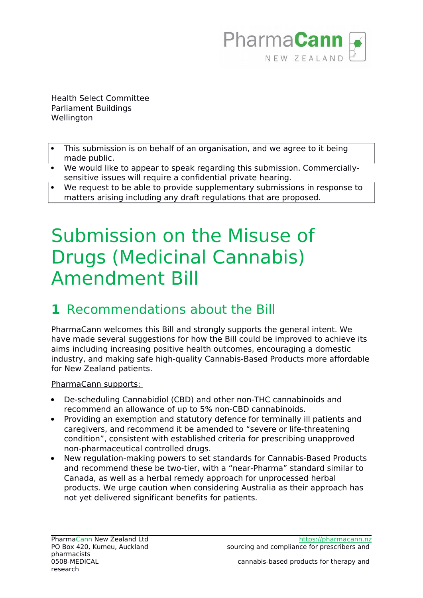

Health Select Committee Parliament Buildings Wellington

- This submission is on behalf of an organisation, and we agree to it being made public.
- We would like to appear to speak regarding this submission. Commerciallysensitive issues will require a confidential private hearing.
- We request to be able to provide supplementary submissions in response to matters arising including any draft regulations that are proposed.

# Submission on the Misuse of Drugs (Medicinal Cannabis) Amendment Bill

### **1** Recommendations about the Bill

PharmaCann welcomes this Bill and strongly supports the general intent. We have made several suggestions for how the Bill could be improved to achieve its aims including increasing positive health outcomes, encouraging a domestic industry, and making safe high-quality Cannabis-Based Products more affordable for New Zealand patients.

#### PharmaCann supports:

- De-scheduling Cannabidiol (CBD) and other non-THC cannabinoids and recommend an allowance of up to 5% non-CBD cannabinoids.
- Providing an exemption and statutory defence for terminally ill patients and caregivers, and recommend it be amended to "severe or life-threatening condition", consistent with established criteria for prescribing unapproved non-pharmaceutical controlled drugs.
- New regulation-making powers to set standards for Cannabis-Based Products and recommend these be two-tier, with a "near-Pharma" standard similar to Canada, as well as a herbal remedy approach for unprocessed herbal products. We urge caution when considering Australia as their approach has not yet delivered significant benefits for patients.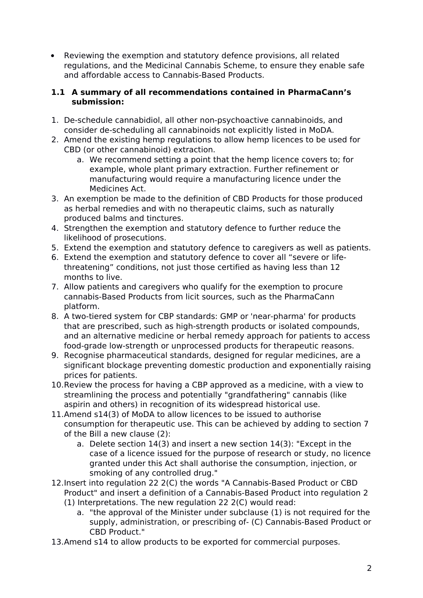Reviewing the exemption and statutory defence provisions, all related regulations, and the Medicinal Cannabis Scheme, to ensure they enable safe and affordable access to Cannabis-Based Products.

#### **1.1 A summary of all recommendations contained in PharmaCann's submission:**

- 1. De-schedule cannabidiol, all other non-psychoactive cannabinoids, and consider de-scheduling all cannabinoids not explicitly listed in MoDA.
- 2. Amend the existing hemp regulations to allow hemp licences to be used for CBD (or other cannabinoid) extraction.
	- a. We recommend setting a point that the hemp licence covers to; for example, whole plant primary extraction. Further refinement or manufacturing would require a manufacturing licence under the Medicines Act.
- 3. An exemption be made to the definition of CBD Products for those produced as herbal remedies and with no therapeutic claims, such as naturally produced balms and tinctures.
- 4. Strengthen the exemption and statutory defence to further reduce the likelihood of prosecutions.
- 5. Extend the exemption and statutory defence to caregivers as well as patients.
- 6. Extend the exemption and statutory defence to cover all "severe or lifethreatening" conditions, not just those certified as having less than 12 months to live.
- 7. Allow patients and caregivers who qualify for the exemption to procure cannabis-Based Products from licit sources, such as the PharmaCann platform.
- 8. A two-tiered system for CBP standards: GMP or 'near-pharma' for products that are prescribed, such as high-strength products or isolated compounds, and an alternative medicine or herbal remedy approach for patients to access food-grade low-strength or unprocessed products for therapeutic reasons.
- 9. Recognise pharmaceutical standards, designed for regular medicines, are a significant blockage preventing domestic production and exponentially raising prices for patients.
- 10.Review the process for having a CBP approved as a medicine, with a view to streamlining the process and potentially "grandfathering" cannabis (like aspirin and others) in recognition of its widespread historical use.
- 11.Amend s14(3) of MoDA to allow licences to be issued to authorise consumption for therapeutic use. This can be achieved by adding to section 7 of the Bill a new clause (2):
	- a. Delete section 14(3) and insert a new section 14(3): "Except in the case of a licence issued for the purpose of research or study, no licence granted under this Act shall authorise the consumption, injection, or smoking of any controlled drug."
- 12.Insert into regulation 22 2(C) the words "A Cannabis-Based Product or CBD Product" and insert a definition of a Cannabis-Based Product into regulation 2
	- (1) Interpretations. The new regulation 22 2(C) would read:
		- a. "the approval of the Minister under subclause (1) is not required for the supply, administration, or prescribing of- (C) Cannabis-Based Product or CBD Product."
- 13.Amend s14 to allow products to be exported for commercial purposes.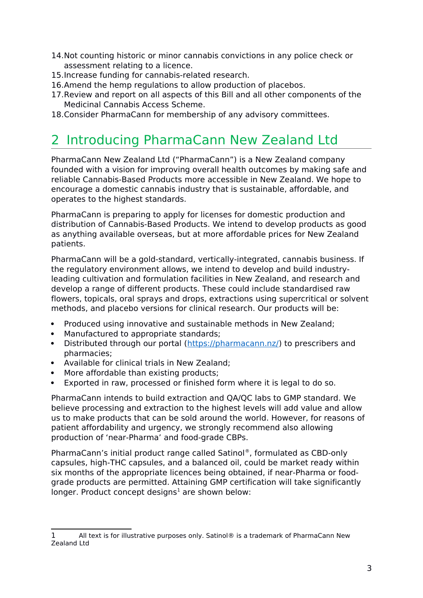- 14.Not counting historic or minor cannabis convictions in any police check or assessment relating to a licence.
- 15.Increase funding for cannabis-related research.
- 16.Amend the hemp regulations to allow production of placebos.
- 17.Review and report on all aspects of this Bill and all other components of the Medicinal Cannabis Access Scheme.
- 18.Consider PharmaCann for membership of any advisory committees.

### 2 Introducing PharmaCann New Zealand Ltd

PharmaCann New Zealand Ltd ("PharmaCann") is a New Zealand company founded with a vision for improving overall health outcomes by making safe and reliable Cannabis-Based Products more accessible in New Zealand. We hope to encourage a domestic cannabis industry that is sustainable, affordable, and operates to the highest standards.

PharmaCann is preparing to apply for licenses for domestic production and distribution of Cannabis-Based Products. We intend to develop products as good as anything available overseas, but at more affordable prices for New Zealand patients.

PharmaCann will be a gold-standard, vertically-integrated, cannabis business. If the regulatory environment allows, we intend to develop and build industryleading cultivation and formulation facilities in New Zealand, and research and develop a range of different products. These could include standardised raw flowers, topicals, oral sprays and drops, extractions using supercritical or solvent methods, and placebo versions for clinical research. Our products will be:

- Produced using innovative and sustainable methods in New Zealand;
- Manufactured to appropriate standards;
- Distributed through our portal [\(https://pharmacann.nz/\)](https://pharmacann.nz/) to prescribers and pharmacies;
- Available for clinical trials in New Zealand;
- More affordable than existing products;
- Exported in raw, processed or finished form where it is legal to do so.

PharmaCann intends to build extraction and QA/QC labs to GMP standard. We believe processing and extraction to the highest levels will add value and allow us to make products that can be sold around the world. However, for reasons of patient affordability and urgency, we strongly recommend also allowing production of 'near-Pharma' and food-grade CBPs.

PharmaCann's initial product range called Satinol®, formulated as CBD-only capsules, high-THC capsules, and a balanced oil, could be market ready within six months of the appropriate licences being obtained, if near-Pharma or foodgrade products are permitted. Attaining GMP certification will take significantly longer. Product concept designs<sup>[1](#page-2-0)</sup> are shown below:

<span id="page-2-0"></span><sup>1</sup> All text is for illustrative purposes only. Satinol® is a trademark of PharmaCann New Zealand Ltd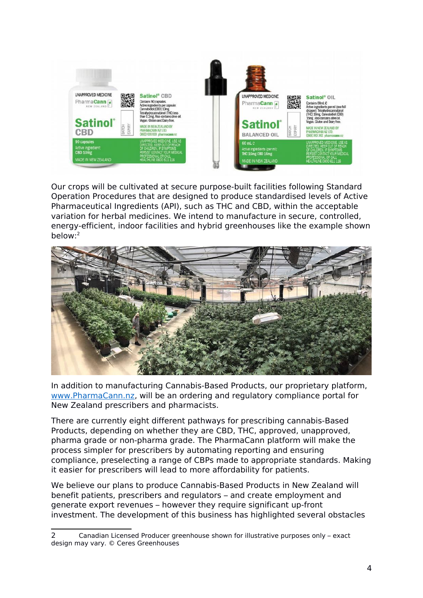

Our crops will be cultivated at secure purpose-built facilities following Standard Operation Procedures that are designed to produce standardised levels of Active Pharmaceutical Ingredients (API), such as THC and CBD, within the acceptable variation for herbal medicines. We intend to manufacture in secure, controlled, energy-efficient, indoor facilities and hybrid greenhouses like the example shown below:[2](#page-3-0)



In addition to manufacturing Cannabis-Based Products, our proprietary platform, [www.PharmaCann.nz,](http://www.PharmaCann.nz/) will be an ordering and regulatory compliance portal for New Zealand prescribers and pharmacists.

There are currently eight different pathways for prescribing cannabis-Based Products, depending on whether they are CBD, THC, approved, unapproved, pharma grade or non-pharma grade. The PharmaCann platform will make the process simpler for prescribers by automating reporting and ensuring compliance, preselecting a range of CBPs made to appropriate standards. Making it easier for prescribers will lead to more affordability for patients.

We believe our plans to produce Cannabis-Based Products in New Zealand will benefit patients, prescribers and regulators – and create employment and generate export revenues – however they require significant up-front investment. The development of this business has highlighted several obstacles

<span id="page-3-0"></span><sup>2</sup> Canadian Licensed Producer greenhouse shown for illustrative purposes only – exact design may vary. © Ceres Greenhouses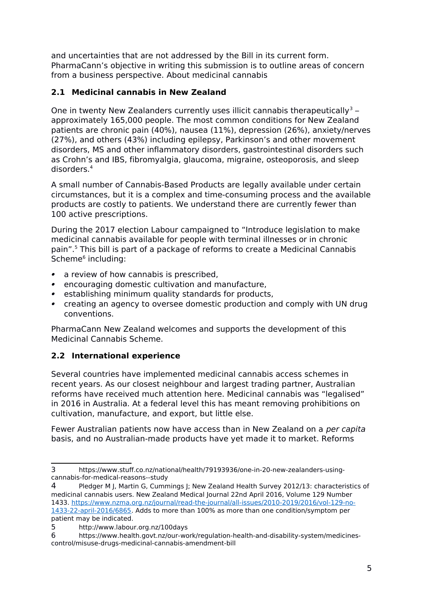and uncertainties that are not addressed by the Bill in its current form. PharmaCann's objective in writing this submission is to outline areas of concern from a business perspective. About medicinal cannabis

#### **2.1 Medicinal cannabis in New Zealand**

One in twenty New Zealanders currently uses illicit cannabis therapeutically<sup>[3](#page-4-0)</sup> – approximately 165,000 people. The most common conditions for New Zealand patients are chronic pain (40%), nausea (11%), depression (26%), anxiety/nerves (27%), and others (43%) including epilepsy, Parkinson's and other movement disorders, MS and other inflammatory disorders, gastrointestinal disorders such as Crohn's and IBS, fibromyalgia, glaucoma, migraine, osteoporosis, and sleep disorders.[4](#page-4-1)

A small number of Cannabis-Based Products are legally available under certain circumstances, but it is a complex and time-consuming process and the available products are costly to patients. We understand there are currently fewer than 100 active prescriptions.

During the 2017 election Labour campaigned to "Introduce legislation to make medicinal cannabis available for people with terminal illnesses or in chronic pain".[5](#page-4-2) This bill is part of a package of reforms to create a Medicinal Cannabis Scheme<sup>[6](#page-4-3)</sup> including:

- a review of how cannabis is prescribed,
- **•** encouraging domestic cultivation and manufacture,
- **•** establishing minimum quality standards for products,
- creating an agency to oversee domestic production and comply with UN drug conventions.

PharmaCann New Zealand welcomes and supports the development of this Medicinal Cannabis Scheme.

#### **2.2 International experience**

Several countries have implemented medicinal cannabis access schemes in recent years. As our closest neighbour and largest trading partner, Australian reforms have received much attention here. Medicinal cannabis was "legalised" in 2016 in Australia. At a federal level this has meant removing prohibitions on cultivation, manufacture, and export, but little else.

Fewer Australian patients now have access than in New Zealand on a per capita basis, and no Australian-made products have yet made it to market. Reforms

<span id="page-4-0"></span><sup>3</sup> https://www.stuff.co.nz/national/health/79193936/one-in-20-new-zealanders-usingcannabis-for-medical-reasons--study

<span id="page-4-1"></span>Pledger M J, Martin G, Cummings J; New Zealand Health Survey 2012/13: characteristics of medicinal cannabis users. New Zealand Medical Journal 22nd April 2016, Volume 129 Number 1433. [https://www.nzma.org.nz/journal/read-the-journal/all-issues/2010-2019/2016/vol-129-no-](https://www.nzma.org.nz/journal/read-the-journal/all-issues/2010-2019/2016/vol-129-no-1433-22-april-2016/6865)[1433-22-april-2016/6865.](https://www.nzma.org.nz/journal/read-the-journal/all-issues/2010-2019/2016/vol-129-no-1433-22-april-2016/6865) Adds to more than 100% as more than one condition/symptom per patient may be indicated.

<span id="page-4-2"></span><sup>5</sup> http://www.labour.org.nz/100days

<span id="page-4-3"></span><sup>6</sup> https://www.health.govt.nz/our-work/regulation-health-and-disability-system/medicinescontrol/misuse-drugs-medicinal-cannabis-amendment-bill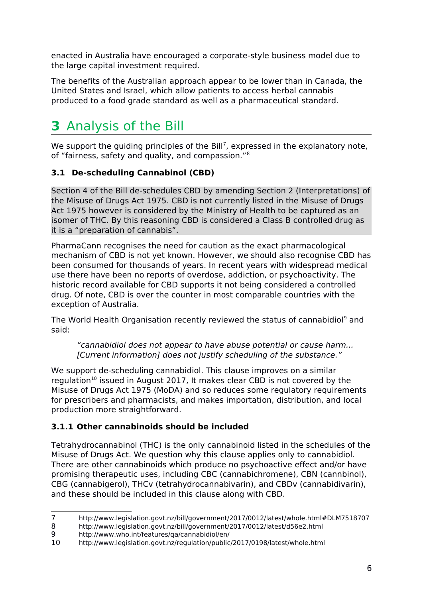enacted in Australia have encouraged a corporate-style business model due to the large capital investment required.

The benefits of the Australian approach appear to be lower than in Canada, the United States and Israel, which allow patients to access herbal cannabis produced to a food grade standard as well as a pharmaceutical standard.

## **3** Analysis of the Bill

We support the guiding principles of the Bill<sup>[7](#page-5-0)</sup>, expressed in the explanatory note, of "fairness, safety and quality, and compassion."[8](#page-5-1)

#### **3.1 De-scheduling Cannabinol (CBD)**

Section 4 of the Bill de-schedules CBD by amending Section 2 (Interpretations) of the Misuse of Drugs Act 1975. CBD is not currently listed in the Misuse of Drugs Act 1975 however is considered by the Ministry of Health to be captured as an isomer of THC. By this reasoning CBD is considered a Class B controlled drug as it is a "preparation of cannabis".

PharmaCann recognises the need for caution as the exact pharmacological mechanism of CBD is not yet known. However, we should also recognise CBD has been consumed for thousands of years. In recent years with widespread medical use there have been no reports of overdose, addiction, or psychoactivity. The historic record available for CBD supports it not being considered a controlled drug. Of note, CBD is over the counter in most comparable countries with the exception of Australia.

The World Health Organisation recently reviewed the status of cannabidiol<sup>[9](#page-5-2)</sup> and said:

"cannabidiol does not appear to have abuse potential or cause harm... [Current information] does not justify scheduling of the substance."

We support de-scheduling cannabidiol. This clause improves on a similar regulation<sup>[10](#page-5-3)</sup> issued in August 2017, It makes clear CBD is not covered by the Misuse of Drugs Act 1975 (MoDA) and so reduces some regulatory requirements for prescribers and pharmacists, and makes importation, distribution, and local production more straightforward.

#### **3.1.1 Other cannabinoids should be included**

Tetrahydrocannabinol (THC) is the only cannabinoid listed in the schedules of the Misuse of Drugs Act. We question why this clause applies only to cannabidiol. There are other cannabinoids which produce no psychoactive effect and/or have promising therapeutic uses, including CBC (cannabichromene), CBN (cannbinol), CBG (cannabigerol), THCv (tetrahydrocannabivarin), and CBDv (cannabidivarin), and these should be included in this clause along with CBD.

<span id="page-5-1"></span>8 http://www.legislation.govt.nz/bill/government/2017/0012/latest/d56e2.html

<span id="page-5-0"></span><sup>7</sup> http://www.legislation.govt.nz/bill/government/2017/0012/latest/whole.html#DLM7518707

<span id="page-5-2"></span><sup>9</sup> http://www.who.int/features/qa/cannabidiol/en/

<span id="page-5-3"></span><sup>10</sup> http://www.legislation.govt.nz/regulation/public/2017/0198/latest/whole.html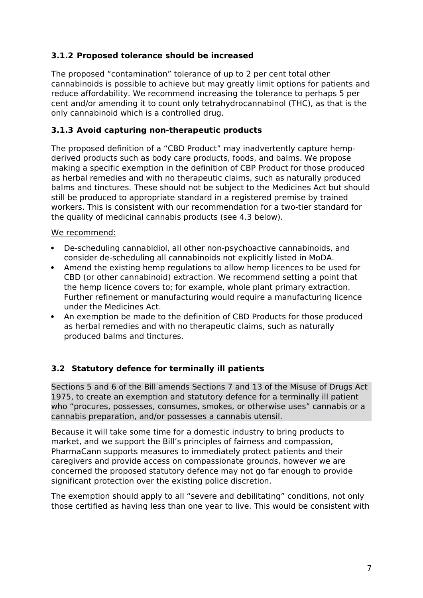#### **3.1.2 Proposed tolerance should be increased**

The proposed "contamination" tolerance of up to 2 per cent total other cannabinoids is possible to achieve but may greatly limit options for patients and reduce affordability. We recommend increasing the tolerance to perhaps 5 per cent and/or amending it to count only tetrahydrocannabinol (THC), as that is the only cannabinoid which is a controlled drug.

#### **3.1.3 Avoid capturing non-therapeutic products**

The proposed definition of a "CBD Product" may inadvertently capture hempderived products such as body care products, foods, and balms. We propose making a specific exemption in the definition of CBP Product for those produced as herbal remedies and with no therapeutic claims, such as naturally produced balms and tinctures. These should not be subject to the Medicines Act but should still be produced to appropriate standard in a registered premise by trained workers. This is consistent with our recommendation for a two-tier standard for the quality of medicinal cannabis products (see 4.3 below).

We recommend:

- De-scheduling cannabidiol, all other non-psychoactive cannabinoids, and consider de-scheduling all cannabinoids not explicitly listed in MoDA.
- Amend the existing hemp regulations to allow hemp licences to be used for CBD (or other cannabinoid) extraction. We recommend setting a point that the hemp licence covers to; for example, whole plant primary extraction. Further refinement or manufacturing would require a manufacturing licence under the Medicines Act.
- An exemption be made to the definition of CBD Products for those produced as herbal remedies and with no therapeutic claims, such as naturally produced balms and tinctures.

#### **3.2 Statutory defence for terminally ill patients**

Sections 5 and 6 of the Bill amends Sections 7 and 13 of the Misuse of Drugs Act 1975, to create an exemption and statutory defence for a terminally ill patient who "procures, possesses, consumes, smokes, or otherwise uses" cannabis or a cannabis preparation, and/or possesses a cannabis utensil.

Because it will take some time for a domestic industry to bring products to market, and we support the Bill's principles of fairness and compassion, PharmaCann supports measures to immediately protect patients and their caregivers and provide access on compassionate grounds, however we are concerned the proposed statutory defence may not go far enough to provide significant protection over the existing police discretion.

The exemption should apply to all "severe and debilitating" conditions, not only those certified as having less than one year to live. This would be consistent with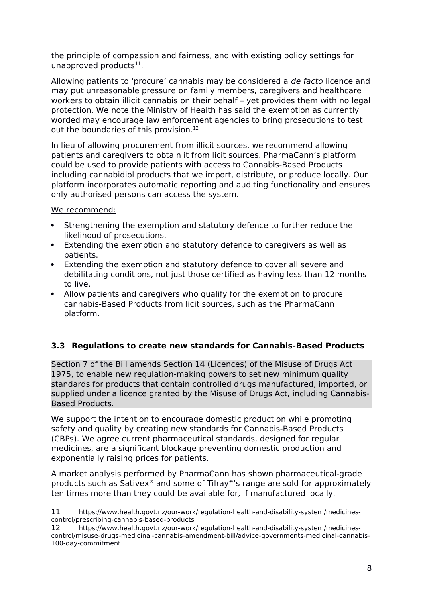the principle of compassion and fairness, and with existing policy settings for unapproved products $^{11}$  $^{11}$  $^{11}$ .

Allowing patients to 'procure' cannabis may be considered a de facto licence and may put unreasonable pressure on family members, caregivers and healthcare workers to obtain illicit cannabis on their behalf – yet provides them with no legal protection. We note the Ministry of Health has said the exemption as currently worded may encourage law enforcement agencies to bring prosecutions to test out the boundaries of this provision.<sup>[12](#page-7-1)</sup>

In lieu of allowing procurement from illicit sources, we recommend allowing patients and caregivers to obtain it from licit sources. PharmaCann's platform could be used to provide patients with access to Cannabis-Based Products including cannabidiol products that we import, distribute, or produce locally. Our platform incorporates automatic reporting and auditing functionality and ensures only authorised persons can access the system.

We recommend:

- Strengthening the exemption and statutory defence to further reduce the likelihood of prosecutions.
- Extending the exemption and statutory defence to caregivers as well as patients.
- Extending the exemption and statutory defence to cover all severe and debilitating conditions, not just those certified as having less than 12 months to live.
- Allow patients and caregivers who qualify for the exemption to procure cannabis-Based Products from licit sources, such as the PharmaCann platform.

#### **3.3 Regulations to create new standards for Cannabis-Based Products**

Section 7 of the Bill amends Section 14 (Licences) of the Misuse of Drugs Act 1975, to enable new regulation-making powers to set new minimum quality standards for products that contain controlled drugs manufactured, imported, or supplied under a licence granted by the Misuse of Drugs Act, including Cannabis-Based Products.

We support the intention to encourage domestic production while promoting safety and quality by creating new standards for Cannabis-Based Products (CBPs). We agree current pharmaceutical standards, designed for regular medicines, are a significant blockage preventing domestic production and exponentially raising prices for patients.

A market analysis performed by PharmaCann has shown pharmaceutical-grade products such as Sativex® and some of Tilray®'s range are sold for approximately ten times more than they could be available for, if manufactured locally.

<span id="page-7-0"></span><sup>11</sup> https://www.health.govt.nz/our-work/regulation-health-and-disability-system/medicinescontrol/prescribing-cannabis-based-products

<span id="page-7-1"></span><sup>12</sup> https://www.health.govt.nz/our-work/regulation-health-and-disability-system/medicinescontrol/misuse-drugs-medicinal-cannabis-amendment-bill/advice-governments-medicinal-cannabis-100-day-commitment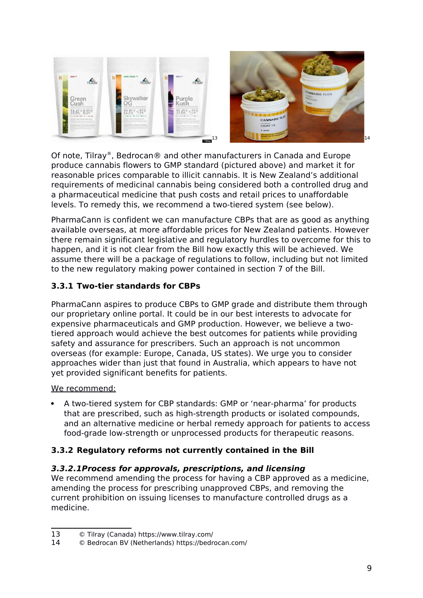

Of note, Tilray®, Bedrocan® and other manufacturers in Canada and Europe produce cannabis flowers to GMP standard (pictured above) and market it for reasonable prices comparable to illicit cannabis. It is New Zealand's additional requirements of medicinal cannabis being considered both a controlled drug and a pharmaceutical medicine that push costs and retail prices to unaffordable levels. To remedy this, we recommend a two-tiered system (see below).

PharmaCann is confident we can manufacture CBPs that are as good as anything available overseas, at more affordable prices for New Zealand patients. However there remain significant legislative and regulatory hurdles to overcome for this to happen, and it is not clear from the Bill how exactly this will be achieved. We assume there will be a package of regulations to follow, including but not limited to the new regulatory making power contained in section 7 of the Bill.

#### **3.3.1 Two-tier standards for CBPs**

PharmaCann aspires to produce CBPs to GMP grade and distribute them through our proprietary online portal. It could be in our best interests to advocate for expensive pharmaceuticals and GMP production. However, we believe a twotiered approach would achieve the best outcomes for patients while providing safety and assurance for prescribers. Such an approach is not uncommon overseas (for example: Europe, Canada, US states). We urge you to consider approaches wider than just that found in Australia, which appears to have not yet provided significant benefits for patients.

We recommend:

 A two-tiered system for CBP standards: GMP or 'near-pharma' for products that are prescribed, such as high-strength products or isolated compounds, and an alternative medicine or herbal remedy approach for patients to access food-grade low-strength or unprocessed products for therapeutic reasons.

#### **3.3.2 Regulatory reforms not currently contained in the Bill**

#### **3.3.2.1Process for approvals, prescriptions, and licensing**

We recommend amending the process for having a CBP approved as a medicine, amending the process for prescribing unapproved CBPs, and removing the current prohibition on issuing licenses to manufacture controlled drugs as a medicine.

<span id="page-8-0"></span><sup>13</sup> © Tilray (Canada) https://www.tilray.com/

<span id="page-8-1"></span><sup>14</sup> © Bedrocan BV (Netherlands) https://bedrocan.com/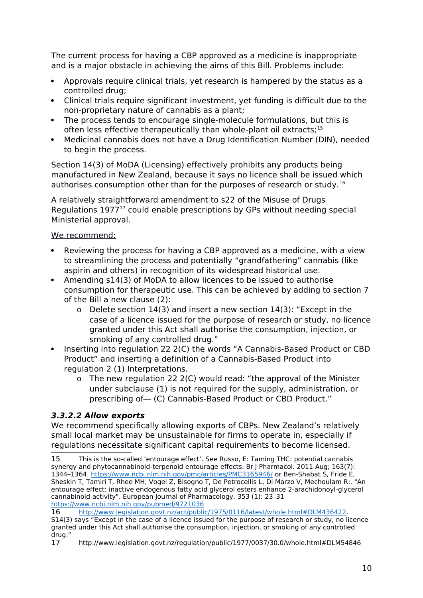The current process for having a CBP approved as a medicine is inappropriate and is a major obstacle in achieving the aims of this Bill. Problems include:

- Approvals require clinical trials, yet research is hampered by the status as a controlled drug;
- Clinical trials require significant investment, yet funding is difficult due to the non-proprietary nature of cannabis as a plant;
- The process tends to encourage single-molecule formulations, but this is often less effective therapeutically than whole-plant oil extracts;<sup>[15](#page-9-0)</sup>
- Medicinal cannabis does not have a Drug Identification Number (DIN), needed to begin the process.

Section 14(3) of MoDA (Licensing) effectively prohibits any products being manufactured in New Zealand, because it says no licence shall be issued which authorises consumption other than for the purposes of research or study.<sup>[16](#page-9-1)</sup>

A relatively straightforward amendment to s22 of the Misuse of Drugs Regulations  $1977<sup>17</sup>$  $1977<sup>17</sup>$  $1977<sup>17</sup>$  could enable prescriptions by GPs without needing special Ministerial approval.

#### We recommend:

- Reviewing the process for having a CBP approved as a medicine, with a view to streamlining the process and potentially "grandfathering" cannabis (like aspirin and others) in recognition of its widespread historical use.
- Amending s14(3) of MoDA to allow licences to be issued to authorise consumption for therapeutic use. This can be achieved by adding to section 7 of the Bill a new clause (2):
	- o Delete section 14(3) and insert a new section 14(3): "Except in the case of a licence issued for the purpose of research or study, no licence granted under this Act shall authorise the consumption, injection, or smoking of any controlled drug."
- Inserting into regulation 22 2(C) the words "A Cannabis-Based Product or CBD Product" and inserting a definition of a Cannabis-Based Product into regulation 2 (1) Interpretations.
	- o The new regulation 22 2(C) would read: "the approval of the Minister under subclause (1) is not required for the supply, administration, or prescribing of— (C) Cannabis-Based Product or CBD Product."

#### **3.3.2.2 Allow exports**

We recommend specifically allowing exports of CBPs. New Zealand's relatively small local market may be unsustainable for firms to operate in, especially if regulations necessitate significant capital requirements to become licensed.

<span id="page-9-0"></span><sup>15</sup> This is the so-called 'entourage effect'. See Russo, E: Taming THC: potential cannabis synergy and phytocannabinoid-terpenoid entourage effects. Br J Pharmacol. 2011 Aug; 163(7): 1344–1364.<https://www.ncbi.nlm.nih.gov/pmc/articles/PMC3165946/>or Ben-Shabat S, Fride E, Sheskin T, Tamiri T, Rhee MH, Vogel Z, Bisogno T, De Petrocellis L, Di Marzo V, Mechoulam R:. "An entourage effect: inactive endogenous fatty acid glycerol esters enhance 2-arachidonoyl-glycerol cannabinoid activity". European Journal of Pharmacology. 353 (1): 23–31 <https://www.ncbi.nlm.nih.gov/pubmed/9721036>

<span id="page-9-1"></span><sup>16</sup> [http://www.legislation.govt.nz/act/public/1975/0116/latest/whole.html#DLM436422.](http://www.legislation.govt.nz/act/public/1975/0116/latest/whole.html#DLM436422)

S14(3) says "Except in the case of a licence issued for the purpose of research or study, no licence granted under this Act shall authorise the consumption, injection, or smoking of any controlled drug."

<span id="page-9-2"></span><sup>17</sup> http://www.legislation.govt.nz/regulation/public/1977/0037/30.0/whole.html#DLM54846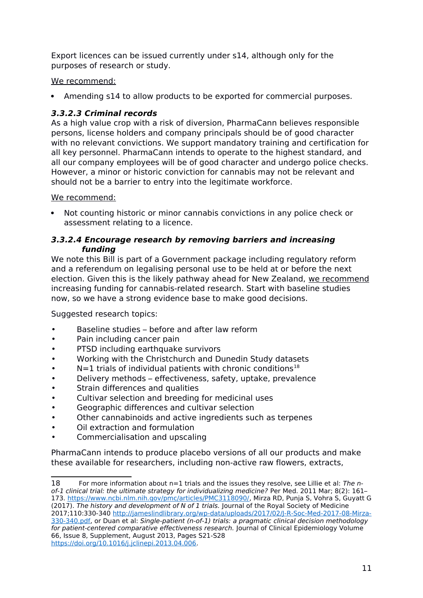Export licences can be issued currently under s14, although only for the purposes of research or study.

#### We recommend:

Amending s14 to allow products to be exported for commercial purposes.

#### **3.3.2.3 Criminal records**

As a high value crop with a risk of diversion, PharmaCann believes responsible persons, license holders and company principals should be of good character with no relevant convictions. We support mandatory training and certification for all key personnel. PharmaCann intends to operate to the highest standard, and all our company employees will be of good character and undergo police checks. However, a minor or historic conviction for cannabis may not be relevant and should not be a barrier to entry into the legitimate workforce.

#### We recommend:

 Not counting historic or minor cannabis convictions in any police check or assessment relating to a licence.

#### **3.3.2.4 Encourage research by removing barriers and increasing funding**

We note this Bill is part of a Government package including regulatory reform and a referendum on legalising personal use to be held at or before the next election. Given this is the likely pathway ahead for New Zealand, we recommend increasing funding for cannabis-related research. Start with baseline studies now, so we have a strong evidence base to make good decisions.

Suggested research topics:

- Baseline studies before and after law reform
- Pain including cancer pain
- PTSD including earthquake survivors
- Working with the Christchurch and Dunedin Study datasets
- $N=1$  trials of individual patients with chronic conditions<sup>[18](#page-10-0)</sup>
- Delivery methods effectiveness, safety, uptake, prevalence
- Strain differences and qualities
- Cultivar selection and breeding for medicinal uses
- Geographic differences and cultivar selection
- Other cannabinoids and active ingredients such as terpenes
- Oil extraction and formulation
- Commercialisation and upscaling

PharmaCann intends to produce placebo versions of all our products and make these available for researchers, including non-active raw flowers, extracts,

<span id="page-10-0"></span><sup>18</sup> For more information about n=1 trials and the issues they resolve, see Lillie et al: The nof-1 clinical trial: the ultimate strategy for individualizing medicine? Per Med. 2011 Mar; 8(2): 161– 173. [https://www.ncbi.nlm.nih.gov/pmc/articles/PMC3118090/,](https://www.ncbi.nlm.nih.gov/pmc/articles/PMC3118090/) Mirza RD, Punja S, Vohra S, Guyatt G (2017). The history and development of N of 1 trials. Journal of the Royal Society of Medicine 2017;110:330-340 [http://jameslindlibrary.org/wp-data/uploads/2017/02/J-R-Soc-Med-2017-08-Mirza-](http://jameslindlibrary.org/wp-data/uploads/2017/02/J-R-Soc-Med-2017-08-Mirza-330-340.pdf)[330-340.pdf,](http://jameslindlibrary.org/wp-data/uploads/2017/02/J-R-Soc-Med-2017-08-Mirza-330-340.pdf) or Duan et al: Single-patient (n-of-1) trials: a pragmatic clinical decision methodology for patient-centered comparative effectiveness research. Journal of Clinical Epidemiology Volume 66, Issue 8, Supplement, August 2013, Pages S21-S28 [https://doi.org/10.1016/j.jclinepi.2013.04.006.](https://doi.org/10.1016/j.jclinepi.2013.04.006)